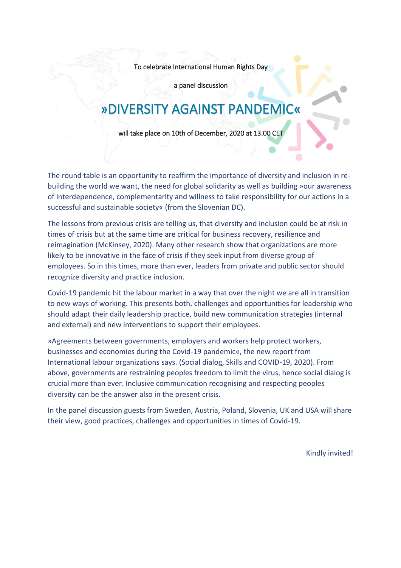To celebrate International Human Rights Day

a panel discussion

# »DIVERSITY AGAINST PANDEMIC«

will take place on 10th of December, 2020 at 13.00 CET

The round table is an opportunity to reaffirm the importance of diversity and inclusion in rebuilding the world we want, the need for global solidarity as well as building »our awareness of interdependence, complementarity and willness to take responsibility for our actions in a successful and sustainable society« (from the Slovenian DC).

The lessons from previous crisis are telling us, that diversity and inclusion could be at risk in times of crisis but at the same time are critical for business recovery, resilience and reimagination (McKinsey, 2020). Many other research show that organizations are more likely to be innovative in the face of crisis if they seek input from diverse group of employees. So in this times, more than ever, leaders from private and public sector should recognize diversity and practice inclusion.

Covid-19 pandemic hit the labour market in a way that over the night we are all in transition to new ways of working. This presents both, challenges and opportunities for leadership who should adapt their daily leadership practice, build new communication strategies (internal and external) and new interventions to support their employees.

»Agreements between governments, employers and workers help protect workers, businesses and economies during the Covid-19 pandemic«, the new report from International labour organizations says. (Social dialog, Skills and COVID-19, 2020). From above, governments are restraining peoples freedom to limit the virus, hence social dialog is crucial more than ever. Inclusive communication recognising and respecting peoples diversity can be the answer also in the present crisis.

In the panel discussion guests from Sweden, Austria, Poland, Slovenia, UK and USA will share their view, good practices, challenges and opportunities in times of Covid-19.

Kindly invited!